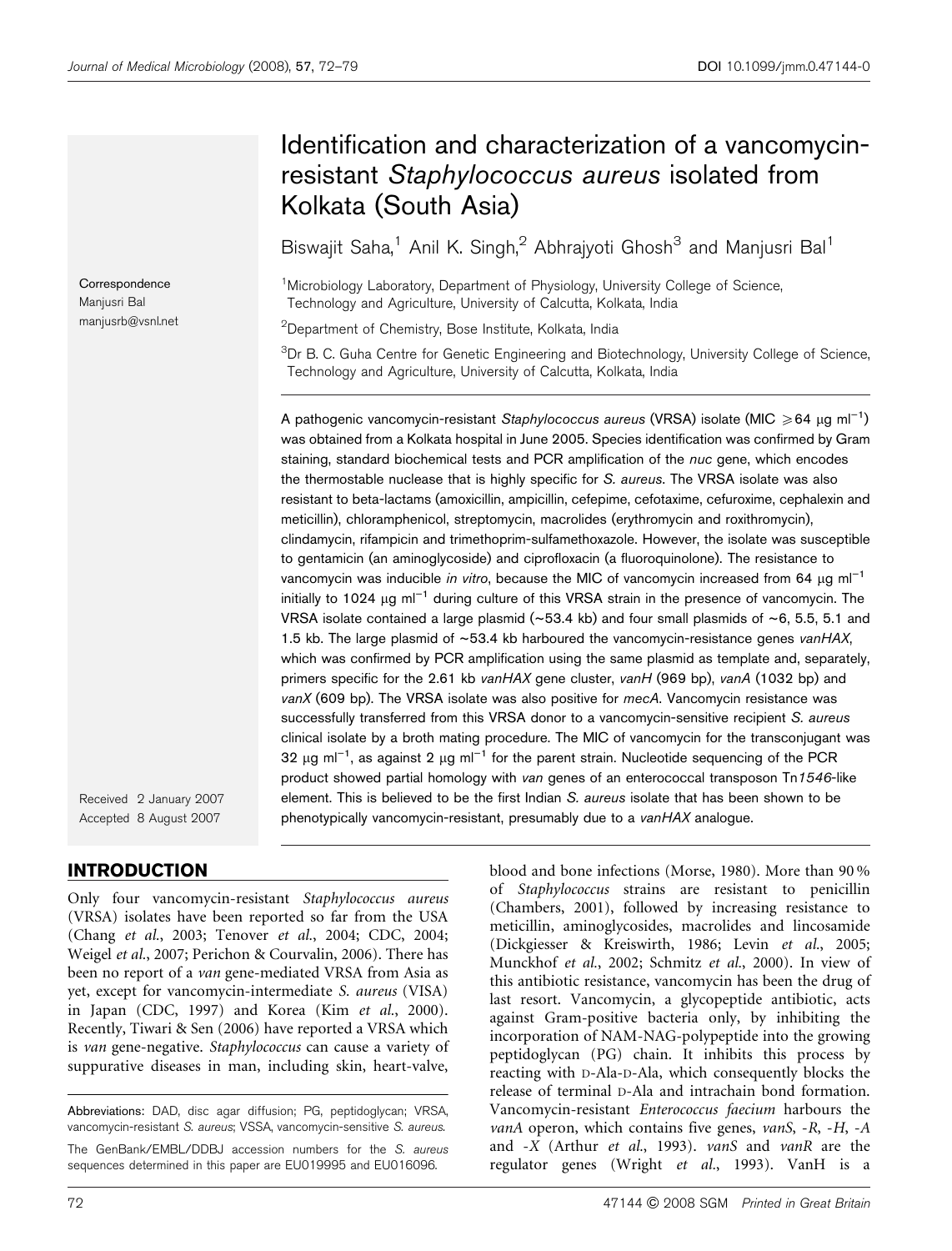Received 2 January 2007 Accepted 8 August 2007

# INTRODUCTION

Only four vancomycin-resistant Staphylococcus aureus (VRSA) isolates have been reported so far from the USA (Chang et al., 2003; Tenover et al., 2004; CDC, 2004; Weigel et al., 2007; Perichon & Courvalin, 2006). There has been no report of a van gene-mediated VRSA from Asia as yet, except for vancomycin-intermediate S. aureus (VISA) in Japan (CDC, 1997) and Korea (Kim et al., 2000). Recently, Tiwari & Sen (2006) have reported a VRSA which is van gene-negative. Staphylococcus can cause a variety of suppurative diseases in man, including skin, heart-valve,

Abbreviations: DAD, disc agar diffusion; PG, peptidoglycan; VRSA, vancomycin-resistant S. aureus; VSSA, vancomycin-sensitive S. aureus.

The GenBank/EMBL/DDBJ accession numbers for the S. aureus sequences determined in this paper are EU019995 and EU016096.

staining, standard biochemical tests and PCR amplification of the nuc gene, which encodes the thermostable nuclease that is highly specific for S. aureus. The VRSA isolate was also resistant to beta-lactams (amoxicillin, ampicillin, cefepime, cefotaxime, cefuroxime, cephalexin and meticillin), chloramphenicol, streptomycin, macrolides (erythromycin and roxithromycin), clindamycin, rifampicin and trimethoprim-sulfamethoxazole. However, the isolate was susceptible to gentamicin (an aminoglycoside) and ciprofloxacin (a fluoroquinolone). The resistance to vancomycin was inducible in vitro, because the MIC of vancomycin increased from 64  $\mu$ g ml<sup>-1</sup> initially to 1024  $\mu$ g ml<sup>-1</sup> during culture of this VRSA strain in the presence of vancomycin. The

# Identification and characterization of a vancomycinresistant Staphylococcus aureus isolated from Kolkata (South Asia)

Biswajit Saha,<sup>1</sup> Anil K. Singh,<sup>2</sup> Abhrajyoti Ghosh<sup>3</sup> and Manjusri Bal<sup>1</sup>

<sup>1</sup>Microbiology Laboratory, Department of Physiology, University College of Science Technology and Agriculture, University of Calcutta, Kolkata, India

<sup>2</sup>Department of Chemistry, Bose Institute, Kolkata, India

<sup>3</sup>Dr B. C. Guha Centre for Genetic Engineering and Biotechnology, University College of Science, Technology and Agriculture, University of Calcutta, Kolkata, India

A pathogenic vancomycin-resistant Staphylococcus aureus (VRSA) isolate (MIC ≥64 μg ml<sup>-1</sup>) was obtained from a Kolkata hospital in June 2005. Species identification was confirmed by Gram

VRSA isolate contained a large plasmid ( $\sim$ 53.4 kb) and four small plasmids of  $\sim$ 6, 5.5, 5.1 and 1.5 kb. The large plasmid of  $~53.4$  kb harboured the vancomycin-resistance genes vanHAX, which was confirmed by PCR amplification using the same plasmid as template and, separately, primers specific for the 2.61 kb vanHAX gene cluster, vanH (969 bp), vanA (1032 bp) and  $vanX$  (609 bp). The VRSA isolate was also positive for mecA. Vancomycin resistance was successfully transferred from this VRSA donor to a vancomycin-sensitive recipient S. aureus

clinical isolate by a broth mating procedure. The MIC of vancomycin for the transconjugant was 32  $\mu$ g ml<sup>-1</sup>, as against 2  $\mu$ g ml<sup>-1</sup> for the parent strain. Nucleotide sequencing of the PCR product showed partial homology with van genes of an enterococcal transposon Tn1546-like element. This is believed to be the first Indian S. aureus isolate that has been shown to be phenotypically vancomycin-resistant, presumably due to a vanHAX analogue. blood and bone infections (Morse, 1980). More than 90 % of Staphylococcus strains are resistant to penicillin (Chambers, 2001), followed by increasing resistance to meticillin, aminoglycosides, macrolides and lincosamide (Dickgiesser & Kreiswirth, 1986; Levin et al., 2005; Munckhof et al., 2002; Schmitz et al., 2000). In view of this antibiotic resistance, vancomycin has been the drug of last resort. Vancomycin, a glycopeptide antibiotic, acts against Gram-positive bacteria only, by inhibiting the incorporation of NAM-NAG-polypeptide into the growing peptidoglycan (PG) chain. It inhibits this process by reacting with D-Ala-D-Ala, which consequently blocks the release of terminal D-Ala and intrachain bond formation. Vancomycin-resistant Enterococcus faecium harbours the vanA operon, which contains five genes, vanS,  $-R$ ,  $-H$ ,  $-A$ and -X (Arthur et al., 1993). vanS and vanR are the regulator genes (Wright et al., 1993). VanH is a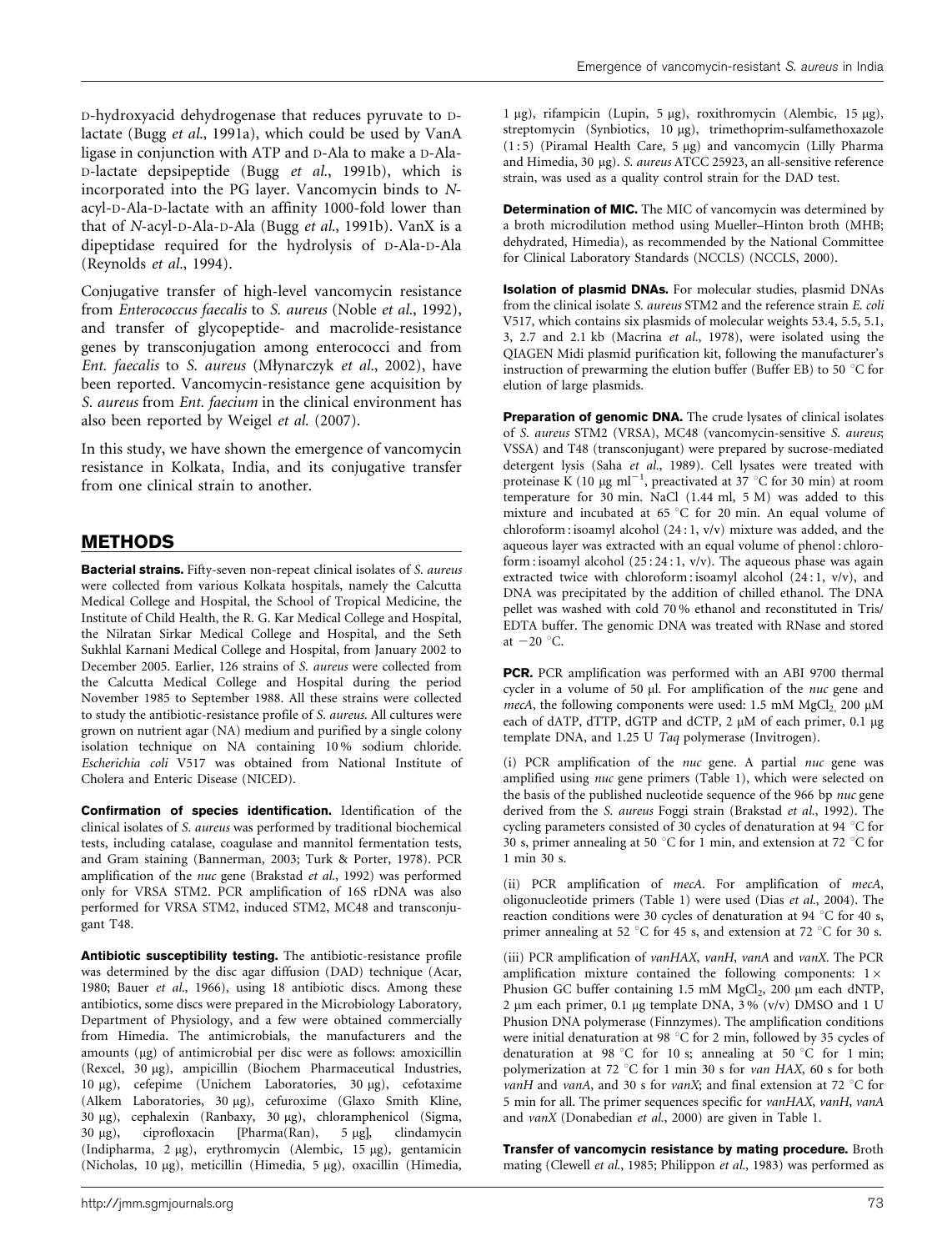D-hydroxyacid dehydrogenase that reduces pyruvate to Dlactate (Bugg et al., 1991a), which could be used by VanA ligase in conjunction with ATP and D-Ala to make a D-Ala-D-lactate depsipeptide (Bugg et al., 1991b), which is incorporated into the PG layer. Vancomycin binds to Nacyl-D-Ala-D-lactate with an affinity 1000-fold lower than that of N-acyl-D-Ala-D-Ala (Bugg et al., 1991b). VanX is a dipeptidase required for the hydrolysis of D-Ala-D-Ala (Reynolds et al., 1994).

Conjugative transfer of high-level vancomycin resistance from Enterococcus faecalis to S. aureus (Noble et al., 1992), and transfer of glycopeptide- and macrolide-resistance genes by transconjugation among enterococci and from Ent. faecalis to S. aureus (Młynarczyk et al., 2002), have been reported. Vancomycin-resistance gene acquisition by S. aureus from Ent. faecium in the clinical environment has also been reported by Weigel et al. (2007).

In this study, we have shown the emergence of vancomycin resistance in Kolkata, India, and its conjugative transfer from one clinical strain to another.

# METHODS

Bacterial strains. Fifty-seven non-repeat clinical isolates of S. aureus were collected from various Kolkata hospitals, namely the Calcutta Medical College and Hospital, the School of Tropical Medicine, the Institute of Child Health, the R. G. Kar Medical College and Hospital, the Nilratan Sirkar Medical College and Hospital, and the Seth Sukhlal Karnani Medical College and Hospital, from January 2002 to December 2005. Earlier, 126 strains of S. aureus were collected from the Calcutta Medical College and Hospital during the period November 1985 to September 1988. All these strains were collected to study the antibiotic-resistance profile of S. aureus. All cultures were grown on nutrient agar (NA) medium and purified by a single colony isolation technique on NA containing 10 % sodium chloride. Escherichia coli V517 was obtained from National Institute of Cholera and Enteric Disease (NICED).

Confirmation of species identification. Identification of the clinical isolates of S. aureus was performed by traditional biochemical tests, including catalase, coagulase and mannitol fermentation tests, and Gram staining (Bannerman, 2003; Turk & Porter, 1978). PCR amplification of the nuc gene (Brakstad et al., 1992) was performed only for VRSA STM2. PCR amplification of 16S rDNA was also performed for VRSA STM2, induced STM2, MC48 and transconjugant T48.

Antibiotic susceptibility testing. The antibiotic-resistance profile was determined by the disc agar diffusion (DAD) technique (Acar, 1980; Bauer et al., 1966), using 18 antibiotic discs. Among these antibiotics, some discs were prepared in the Microbiology Laboratory, Department of Physiology, and a few were obtained commercially from Himedia. The antimicrobials, the manufacturers and the amounts (µg) of antimicrobial per disc were as follows: amoxicillin (Rexcel, 30 mg), ampicillin (Biochem Pharmaceutical Industries, 10 μg), cefepime (Unichem Laboratories, 30 μg), cefotaxime (Alkem Laboratories, 30 µg), cefuroxime (Glaxo Smith Kline, 30  $\mu$ g), cephalexin (Ranbaxy, 30  $\mu$ g), chloramphenicol (Sigma, 30  $\mu$ g), ciprofloxacin [Pharma(Ran), 5  $\mu$ g], clindamycin (Indipharma, 2 µg), erythromycin (Alembic, 15 µg), gentamicin (Nicholas, 10 μg), meticillin (Himedia, 5 μg), oxacillin (Himedia,

1 μg), rifampicin (Lupin, 5 μg), roxithromycin (Alembic, 15 μg), streptomycin (Synbiotics, 10 µg), trimethoprim-sulfamethoxazole  $(1:5)$  (Piramal Health Care,  $5 \mu$ g) and vancomycin (Lilly Pharma and Himedia, 30 µg). S. aureus ATCC 25923, an all-sensitive reference strain, was used as a quality control strain for the DAD test.

**Determination of MIC.** The MIC of vancomycin was determined by a broth microdilution method using Mueller–Hinton broth (MHB; dehydrated, Himedia), as recommended by the National Committee for Clinical Laboratory Standards (NCCLS) (NCCLS, 2000).

Isolation of plasmid DNAs. For molecular studies, plasmid DNAs from the clinical isolate S. aureus STM2 and the reference strain E. coli V517, which contains six plasmids of molecular weights 53.4, 5.5, 5.1, 3, 2.7 and 2.1 kb (Macrina et al., 1978), were isolated using the QIAGEN Midi plasmid purification kit, following the manufacturer's instruction of prewarming the elution buffer (Buffer EB) to 50  $^{\circ}$ C for elution of large plasmids.

Preparation of genomic DNA. The crude lysates of clinical isolates of S. aureus STM2 (VRSA), MC48 (vancomycin-sensitive S. aureus; VSSA) and T48 (transconjugant) were prepared by sucrose-mediated detergent lysis (Saha et al., 1989). Cell lysates were treated with proteinase K (10  $\mu$ g ml<sup>-1</sup>, preactivated at 37 °C for 30 min) at room temperature for 30 min. NaCl (1.44 ml, 5 M) was added to this mixture and incubated at 65 °C for 20 min. An equal volume of chloroform : isoamyl alcohol (24 : 1, v/v) mixture was added, and the aqueous layer was extracted with an equal volume of phenol : chloroform : isoamyl alcohol  $(25:24:1, v/v)$ . The aqueous phase was again extracted twice with chloroform : isoamyl alcohol (24 : 1, v/v), and DNA was precipitated by the addition of chilled ethanol. The DNA pellet was washed with cold 70 % ethanol and reconstituted in Tris/ EDTA buffer. The genomic DNA was treated with RNase and stored at  $-20$  °C.

PCR. PCR amplification was performed with an ABI 9700 thermal cycler in a volume of 50  $\mu$ l. For amplification of the *nuc* gene and mecA, the following components were used: 1.5 mM  $MgCl<sub>2</sub>$ , 200 µM each of dATP, dTTP, dGTP and dCTP, 2 µM of each primer, 0.1 µg template DNA, and 1.25 U Taq polymerase (Invitrogen).

(i) PCR amplification of the nuc gene. A partial nuc gene was amplified using nuc gene primers (Table 1), which were selected on the basis of the published nucleotide sequence of the 966 bp nuc gene derived from the S. aureus Foggi strain (Brakstad et al., 1992). The cycling parameters consisted of 30 cycles of denaturation at 94  $^{\circ}$ C for 30 s, primer annealing at 50 °C for 1 min, and extension at 72 °C for 1 min 30 s.

(ii) PCR amplification of mecA. For amplification of mecA, oligonucleotide primers (Table 1) were used (Dias et al., 2004). The reaction conditions were 30 cycles of denaturation at 94  $^{\circ}$ C for 40 s, primer annealing at 52 °C for 45 s, and extension at 72 °C for 30 s.

(iii) PCR amplification of vanHAX, vanH, vanA and vanX. The PCR amplification mixture contained the following components: 1*6* Phusion GC buffer containing 1.5 mM MgCl<sub>2</sub>, 200 µm each dNTP, 2  $\mu$ m each primer, 0.1  $\mu$ g template DNA, 3% (v/v) DMSO and 1 U Phusion DNA polymerase (Finnzymes). The amplification conditions were initial denaturation at 98  $^{\circ}$ C for 2 min, followed by 35 cycles of denaturation at 98 °C for 10 s; annealing at 50 °C for 1 min; polymerization at 72 °C for 1 min 30 s for van HAX, 60 s for both vanH and vanA, and 30 s for vanX; and final extension at 72  $^{\circ}$ C for 5 min for all. The primer sequences specific for vanHAX, vanH, vanA and vanX (Donabedian et al., 2000) are given in Table 1.

Transfer of vancomycin resistance by mating procedure. Broth mating (Clewell et al., 1985; Philippon et al., 1983) was performed as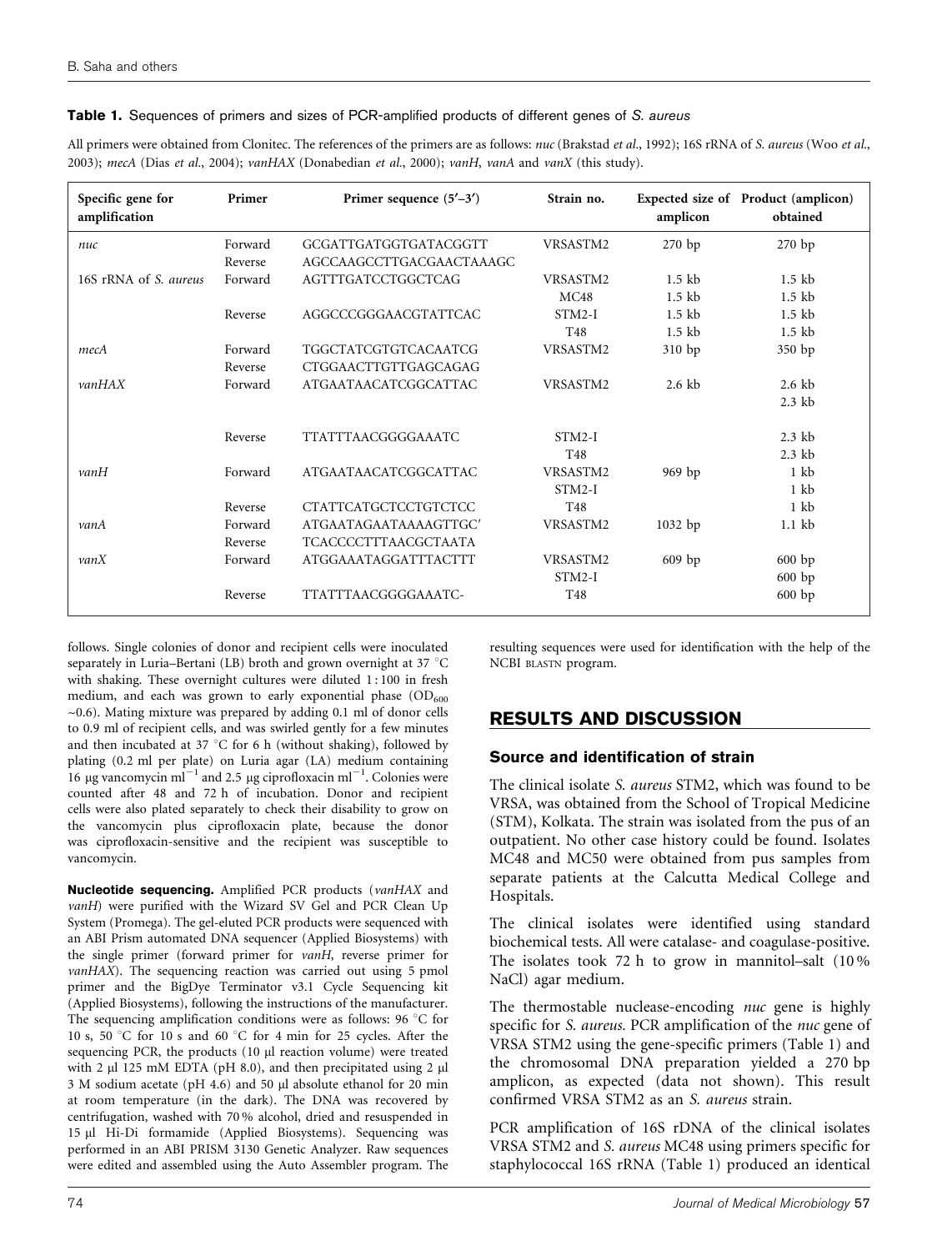#### Table 1. Sequences of primers and sizes of PCR-amplified products of different genes of S. aureus

All primers were obtained from Clonitec. The references of the primers are as follows: nuc (Brakstad et al., 1992); 16S rRNA of S. aureus (Woo et al., 2003); mecA (Dias et al., 2004); vanHAX (Donabedian et al., 2000); vanH, vanA and vanX (this study).

| Primer<br>Specific gene for<br>amplification |         | Primer sequence $(5'–3')$   | Strain no.      | amplicon         | Expected size of Product (amplicon)<br>obtained |  |  |
|----------------------------------------------|---------|-----------------------------|-----------------|------------------|-------------------------------------------------|--|--|
| nuc                                          | Forward | GCGATTGATGGTGATACGGTT       | VRSASTM2        | $270$ bp         | 270 bp                                          |  |  |
|                                              | Reverse | AGCCAAGCCTTGACGAACTAAAGC    |                 |                  |                                                 |  |  |
| 16S rRNA of S. aureus                        | Forward | AGTTTGATCCTGGCTCAG          | VRSASTM2        | $1.5$ kb         | $1.5$ kb                                        |  |  |
|                                              |         |                             | MC48            | $1.5$ kb         | $1.5$ kb                                        |  |  |
|                                              | Reverse | AGGCCCGGGAACGTATTCAC        | $STM2-I$        | $1.5$ kb         | $1.5$ kb                                        |  |  |
|                                              |         |                             | T48             | $1.5$ kb         | $1.5$ kb                                        |  |  |
| mecA                                         | Forward | <b>TGGCTATCGTGTCACAATCG</b> | VRSASTM2        | 310 bp           | 350 bp                                          |  |  |
|                                              | Reverse | CTGGAACTTGTTGAGCAGAG        |                 |                  |                                                 |  |  |
| vanHAX                                       | Forward | <b>ATGAATAACATCGGCATTAC</b> | VRSASTM2        | $2.6 \text{ kb}$ | $2.6 \text{ kb}$                                |  |  |
|                                              |         |                             |                 |                  | $2.3$ kb                                        |  |  |
|                                              | Reverse | <b>TTATTTAACGGGGAAATC</b>   | $STM2-I$        |                  | $2.3$ kb                                        |  |  |
|                                              |         |                             | T <sub>48</sub> |                  | $2.3$ kb                                        |  |  |
| vanH                                         | Forward | <b>ATGAATAACATCGGCATTAC</b> | VRSASTM2        | $969$ bp         | $1 \;$ kb                                       |  |  |
|                                              |         |                             | $STM2-I$        |                  | $1 \;$ kb                                       |  |  |
|                                              | Reverse | <b>CTATTCATGCTCCTGTCTCC</b> | T <sub>48</sub> |                  | $1 \,$ kb                                       |  |  |
| vanA                                         | Forward | ATGAATAGAATAAAAGTTGC'       | VRSASTM2        | 1032 bp          | $1.1$ kb                                        |  |  |
|                                              | Reverse | <b>TCACCCCTTTAACGCTAATA</b> |                 |                  |                                                 |  |  |
| vanX                                         | Forward | <b>ATGGAAATAGGATTTACTTT</b> | VRSASTM2        | $609$ bp         | 600 bp                                          |  |  |
|                                              |         |                             | $STM2-I$        |                  | 600 bp                                          |  |  |
|                                              | Reverse | TTATTTAACGGGGAAATC-         | T <sub>48</sub> |                  | 600bp                                           |  |  |

follows. Single colonies of donor and recipient cells were inoculated separately in Luria–Bertani (LB) broth and grown overnight at 37  $^{\circ}$ C with shaking. These overnight cultures were diluted 1:100 in fresh medium, and each was grown to early exponential phase  $(OD<sub>600</sub>$  $\sim$ 0.6). Mating mixture was prepared by adding 0.1 ml of donor cells to 0.9 ml of recipient cells, and was swirled gently for a few minutes and then incubated at 37 °C for 6 h (without shaking), followed by plating (0.2 ml per plate) on Luria agar (LA) medium containing 16 µg vancomycin ml<sup>-1</sup> and 2.5 µg ciprofloxacin ml<sup>-1</sup>. Colonies were counted after 48 and 72 h of incubation. Donor and recipient cells were also plated separately to check their disability to grow on the vancomycin plus ciprofloxacin plate, because the donor was ciprofloxacin-sensitive and the recipient was susceptible to vancomycin.

Nucleotide sequencing. Amplified PCR products (vanHAX and vanH) were purified with the Wizard SV Gel and PCR Clean Up System (Promega). The gel-eluted PCR products were sequenced with an ABI Prism automated DNA sequencer (Applied Biosystems) with the single primer (forward primer for vanH, reverse primer for vanHAX). The sequencing reaction was carried out using 5 pmol primer and the BigDye Terminator v3.1 Cycle Sequencing kit (Applied Biosystems), following the instructions of the manufacturer. The sequencing amplification conditions were as follows:  $96 °C$  for 10 s, 50 °C for 10 s and 60 °C for 4 min for 25 cycles. After the sequencing PCR, the products (10 µl reaction volume) were treated with 2  $\mu$ l 125 mM EDTA (pH 8.0), and then precipitated using 2  $\mu$ l 3 M sodium acetate (pH 4.6) and 50 µl absolute ethanol for 20 min at room temperature (in the dark). The DNA was recovered by centrifugation, washed with 70 % alcohol, dried and resuspended in 15 ml Hi-Di formamide (Applied Biosystems). Sequencing was performed in an ABI PRISM 3130 Genetic Analyzer. Raw sequences were edited and assembled using the Auto Assembler program. The resulting sequences were used for identification with the help of the NCBI BLASTN program.

# RESULTS AND DISCUSSION

# Source and identification of strain

The clinical isolate S. aureus STM2, which was found to be VRSA, was obtained from the School of Tropical Medicine (STM), Kolkata. The strain was isolated from the pus of an outpatient. No other case history could be found. Isolates MC48 and MC50 were obtained from pus samples from separate patients at the Calcutta Medical College and Hospitals.

The clinical isolates were identified using standard biochemical tests. All were catalase- and coagulase-positive. The isolates took 72 h to grow in mannitol–salt (10 % NaCl) agar medium.

The thermostable nuclease-encoding nuc gene is highly specific for S. aureus. PCR amplification of the nuc gene of VRSA STM2 using the gene-specific primers (Table 1) and the chromosomal DNA preparation yielded a 270 bp amplicon, as expected (data not shown). This result confirmed VRSA STM2 as an S. aureus strain.

PCR amplification of 16S rDNA of the clinical isolates VRSA STM2 and S. aureus MC48 using primers specific for staphylococcal 16S rRNA (Table 1) produced an identical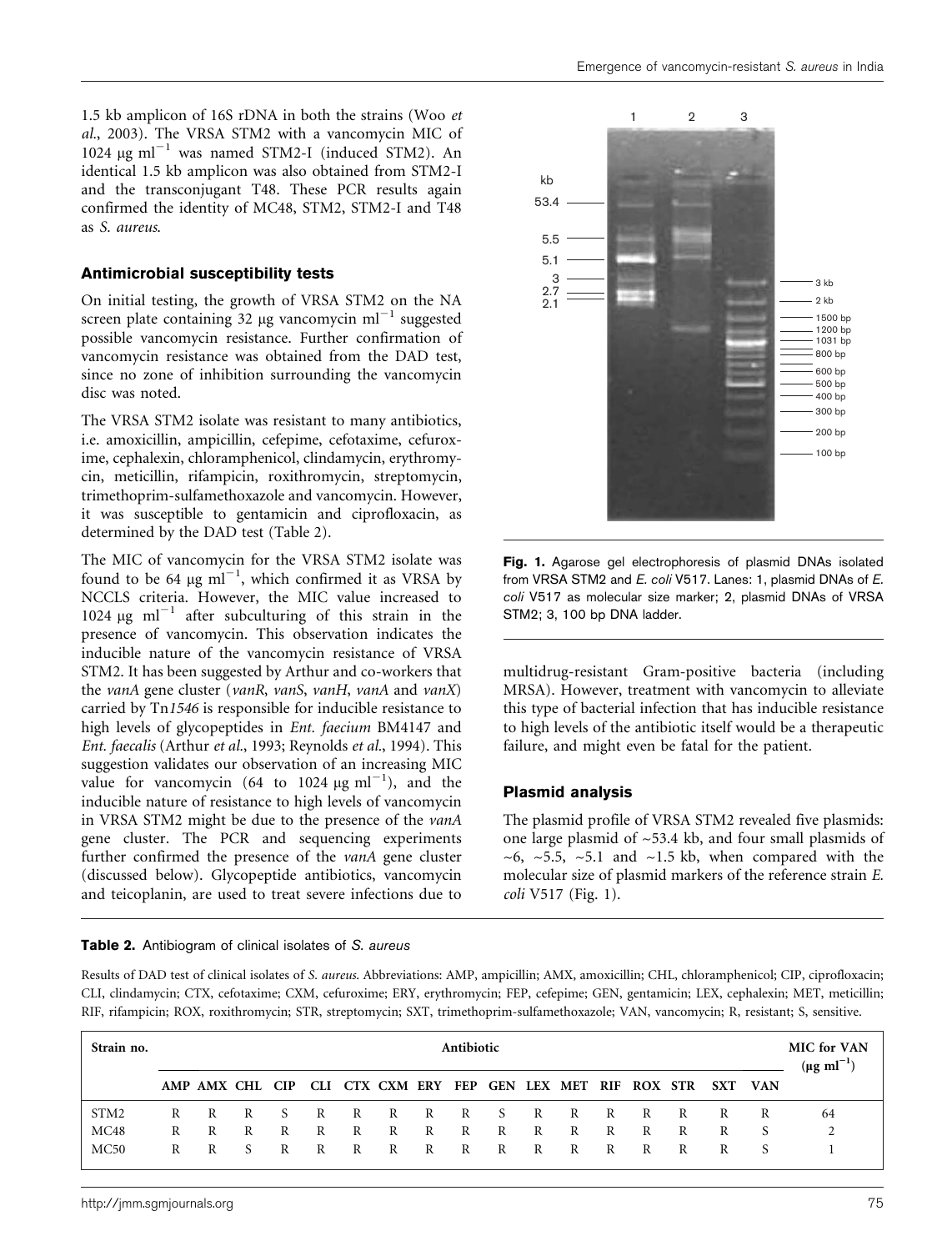1.5 kb amplicon of 16S rDNA in both the strains (Woo et al., 2003). The VRSA STM2 with a vancomycin MIC of 1024  $\mu$ g ml<sup>-1</sup> was named STM2-I (induced STM2). An identical 1.5 kb amplicon was also obtained from STM2-I and the transconjugant T48. These PCR results again confirmed the identity of MC48, STM2, STM2-I and T48 as S. aureus.

#### Antimicrobial susceptibility tests

On initial testing, the growth of VRSA STM2 on the NA screen plate containing 32 µg vancomycin ml<sup> $-1$ </sup> suggested possible vancomycin resistance. Further confirmation of vancomycin resistance was obtained from the DAD test, since no zone of inhibition surrounding the vancomycin disc was noted.

The VRSA STM2 isolate was resistant to many antibiotics, i.e. amoxicillin, ampicillin, cefepime, cefotaxime, cefuroxime, cephalexin, chloramphenicol, clindamycin, erythromycin, meticillin, rifampicin, roxithromycin, streptomycin, trimethoprim-sulfamethoxazole and vancomycin. However, it was susceptible to gentamicin and ciprofloxacin, as determined by the DAD test (Table 2).

The MIC of vancomycin for the VRSA STM2 isolate was found to be 64  $\mu$ g ml<sup>-1</sup>, which confirmed it as VRSA by NCCLS criteria. However, the MIC value increased to 1024  $\mu$ g ml<sup>-1</sup> after subculturing of this strain in the presence of vancomycin. This observation indicates the inducible nature of the vancomycin resistance of VRSA STM2. It has been suggested by Arthur and co-workers that the vanA gene cluster (vanR, vanS, vanH, vanA and vanX) carried by Tn1546 is responsible for inducible resistance to high levels of glycopeptides in Ent. faecium BM4147 and Ent. faecalis (Arthur et al., 1993; Reynolds et al., 1994). This suggestion validates our observation of an increasing MIC value for vancomycin (64 to 1024  $\mu$ g ml<sup>-1</sup>), and the inducible nature of resistance to high levels of vancomycin in VRSA STM2 might be due to the presence of the vanA gene cluster. The PCR and sequencing experiments further confirmed the presence of the vanA gene cluster (discussed below). Glycopeptide antibiotics, vancomycin and teicoplanin, are used to treat severe infections due to

#### Table 2. Antibiogram of clinical isolates of S. aureus



Fig. 1. Agarose gel electrophoresis of plasmid DNAs isolated from VRSA STM2 and E. coli V517. Lanes: 1, plasmid DNAs of E. coli V517 as molecular size marker; 2, plasmid DNAs of VRSA STM2; 3, 100 bp DNA ladder.

multidrug-resistant Gram-positive bacteria (including MRSA). However, treatment with vancomycin to alleviate this type of bacterial infection that has inducible resistance to high levels of the antibiotic itself would be a therapeutic failure, and might even be fatal for the patient.

#### Plasmid analysis

The plasmid profile of VRSA STM2 revealed five plasmids: one large plasmid of  $\sim$ 53.4 kb, and four small plasmids of  $\sim$ 6,  $\sim$ 5.5,  $\sim$ 5.1 and  $\sim$ 1.5 kb, when compared with the molecular size of plasmid markers of the reference strain E. coli V517 (Fig. 1).

Results of DAD test of clinical isolates of S. aureus. Abbreviations: AMP, ampicillin; AMX, amoxicillin; CHL, chloramphenicol; CIP, ciprofloxacin; CLI, clindamycin; CTX, cefotaxime; CXM, cefuroxime; ERY, erythromycin; FEP, cefepime; GEN, gentamicin; LEX, cephalexin; MET, meticillin; RIF, rifampicin; ROX, roxithromycin; STR, streptomycin; SXT, trimethoprim-sulfamethoxazole; VAN, vancomycin; R, resistant; S, sensitive.

| Strain no. | Antibiotic |   |                  |              |   |              |              |   |       |  |   |   |   |              |   | <b>MIC</b> for VAN<br>$(\mu g \text{ ml}^{-1})$ |            |    |
|------------|------------|---|------------------|--------------|---|--------------|--------------|---|-------|--|---|---|---|--------------|---|-------------------------------------------------|------------|----|
|            |            |   | AMP AMX CHI. CIP |              |   |              |              |   |       |  |   |   |   |              |   | CLI CTX CXM ERY FEP GEN LEX MET RIF ROX STR SXT | <b>VAN</b> |    |
| STM2       |            |   |                  |              |   |              |              |   |       |  |   |   |   |              |   | R                                               | R          | 64 |
| MC48       | R          | R | R                | $\mathbb{R}$ | R |              | $R$ R        | R | $R$ R |  | R | R | R | $\mathbb{R}$ | R | R                                               | -S         |    |
| MC50       | R          | R | - S              | R            | R | $\mathbb{R}$ | $\mathbf{R}$ | R | $R$ R |  | R | R | R | R            | R | R                                               |            |    |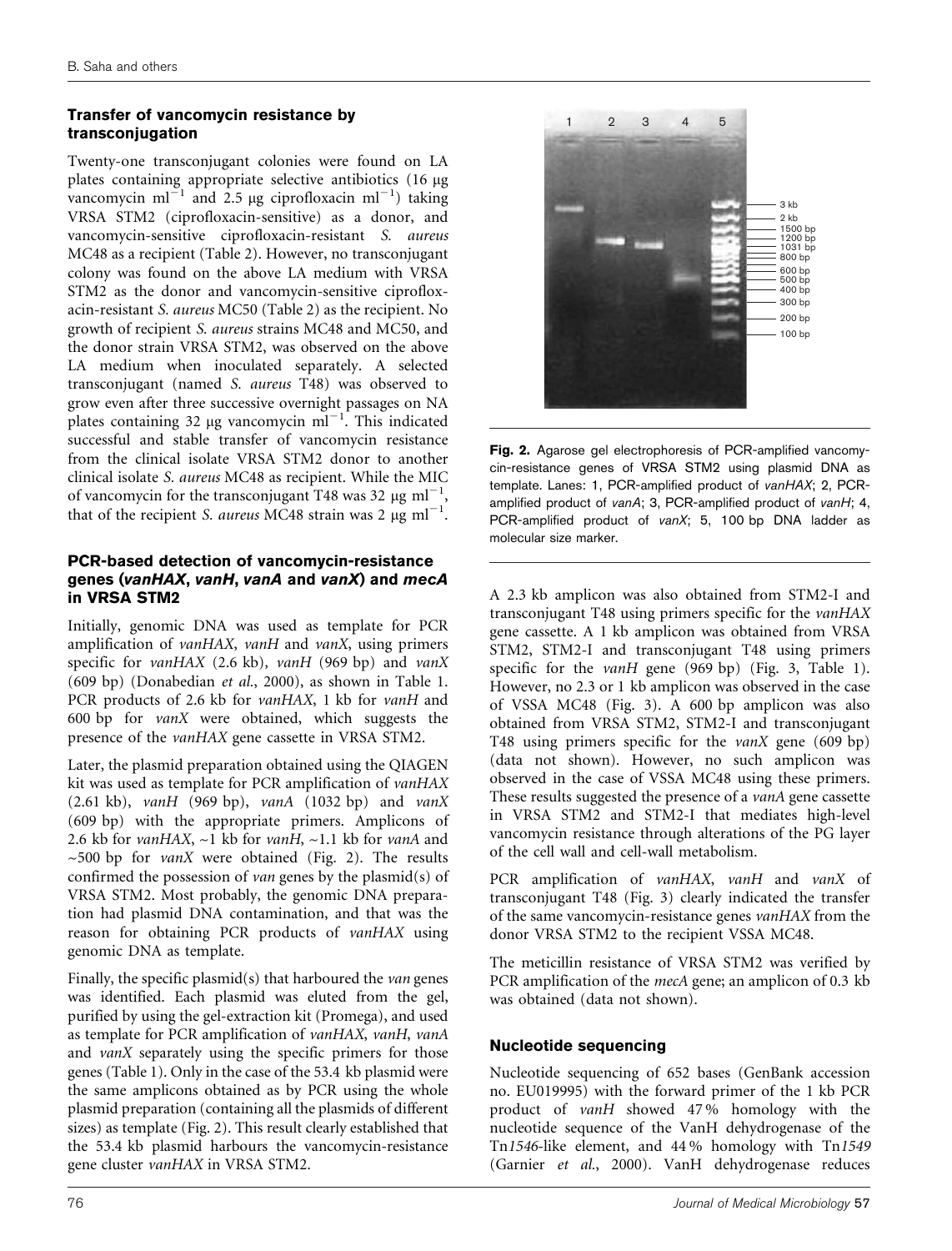# Transfer of vancomycin resistance by transconjugation

Twenty-one transconjugant colonies were found on LA plates containing appropriate selective antibiotics (16 µg) vancomycin ml<sup>-1</sup> and 2.5 µg ciprofloxacin ml<sup>-1</sup>) taking VRSA STM2 (ciprofloxacin-sensitive) as a donor, and vancomycin-sensitive ciprofloxacin-resistant S. aureus MC48 as a recipient (Table 2). However, no transconjugant colony was found on the above LA medium with VRSA STM2 as the donor and vancomycin-sensitive ciprofloxacin-resistant S. aureus MC50 (Table 2) as the recipient. No growth of recipient S. aureus strains MC48 and MC50, and the donor strain VRSA STM2, was observed on the above LA medium when inoculated separately. A selected transconjugant (named S. aureus T48) was observed to grow even after three successive overnight passages on NA plates containing 32 µg vancomycin ml<sup>-1</sup>. This indicated successful and stable transfer of vancomycin resistance from the clinical isolate VRSA STM2 donor to another clinical isolate S. aureus MC48 as recipient. While the MIC of vancomycin for the transconjugant T48 was 32  $\mu$ g ml<sup>-1</sup>, that of the recipient S. aureus MC48 strain was 2  $\mu$ g ml<sup>-1</sup>.

# PCR-based detection of vancomycin-resistance genes (vanHAX, vanH, vanA and vanX) and mecA in VRSA STM2

Initially, genomic DNA was used as template for PCR amplification of vanHAX, vanH and vanX, using primers specific for vanHAX (2.6 kb), vanH (969 bp) and vanX (609 bp) (Donabedian et al., 2000), as shown in Table 1. PCR products of 2.6 kb for *vanHAX*, 1 kb for *vanH* and 600 bp for vanX were obtained, which suggests the presence of the vanHAX gene cassette in VRSA STM2.

Later, the plasmid preparation obtained using the QIAGEN kit was used as template for PCR amplification of vanHAX  $(2.61 \text{ kb})$ , vanH  $(969 \text{ bp})$ , vanA  $(1032 \text{ bp})$  and vanX (609 bp) with the appropriate primers. Amplicons of 2.6 kb for vanHAX,  $\sim$ 1 kb for vanH,  $\sim$ 1.1 kb for vanA and  $\sim$  500 bp for *vanX* were obtained (Fig. 2). The results confirmed the possession of van genes by the plasmid(s) of VRSA STM2. Most probably, the genomic DNA preparation had plasmid DNA contamination, and that was the reason for obtaining PCR products of vanHAX using genomic DNA as template.

Finally, the specific plasmid(s) that harboured the van genes was identified. Each plasmid was eluted from the gel, purified by using the gel-extraction kit (Promega), and used as template for PCR amplification of vanHAX, vanH, vanA and vanX separately using the specific primers for those genes (Table 1). Only in the case of the 53.4 kb plasmid were the same amplicons obtained as by PCR using the whole plasmid preparation (containing all the plasmids of different sizes) as template (Fig. 2). This result clearly established that the 53.4 kb plasmid harbours the vancomycin-resistance gene cluster vanHAX in VRSA STM2.



Fig. 2. Agarose gel electrophoresis of PCR-amplified vancomycin-resistance genes of VRSA STM2 using plasmid DNA as template. Lanes: 1, PCR-amplified product of vanHAX; 2, PCRamplified product of vanA; 3, PCR-amplified product of vanH; 4, PCR-amplified product of vanX; 5, 100 bp DNA ladder as molecular size marker.

A 2.3 kb amplicon was also obtained from STM2-I and transconjugant T48 using primers specific for the vanHAX gene cassette. A 1 kb amplicon was obtained from VRSA STM2, STM2-I and transconjugant T48 using primers specific for the *vanH* gene (969 bp) (Fig. 3, Table 1). However, no 2.3 or 1 kb amplicon was observed in the case of VSSA MC48 (Fig. 3). A 600 bp amplicon was also obtained from VRSA STM2, STM2-I and transconjugant T48 using primers specific for the vanX gene (609 bp) (data not shown). However, no such amplicon was observed in the case of VSSA MC48 using these primers. These results suggested the presence of a vanA gene cassette in VRSA STM2 and STM2-I that mediates high-level vancomycin resistance through alterations of the PG layer of the cell wall and cell-wall metabolism.

PCR amplification of vanHAX, vanH and vanX of transconjugant T48 (Fig. 3) clearly indicated the transfer of the same vancomycin-resistance genes vanHAX from the donor VRSA STM2 to the recipient VSSA MC48.

The meticillin resistance of VRSA STM2 was verified by PCR amplification of the *mecA* gene; an amplicon of 0.3 kb was obtained (data not shown).

# Nucleotide sequencing

Nucleotide sequencing of 652 bases (GenBank accession no. EU019995) with the forward primer of the 1 kb PCR product of vanH showed 47 % homology with the nucleotide sequence of the VanH dehydrogenase of the Tn1546-like element, and 44 % homology with Tn1549 (Garnier et al., 2000). VanH dehydrogenase reduces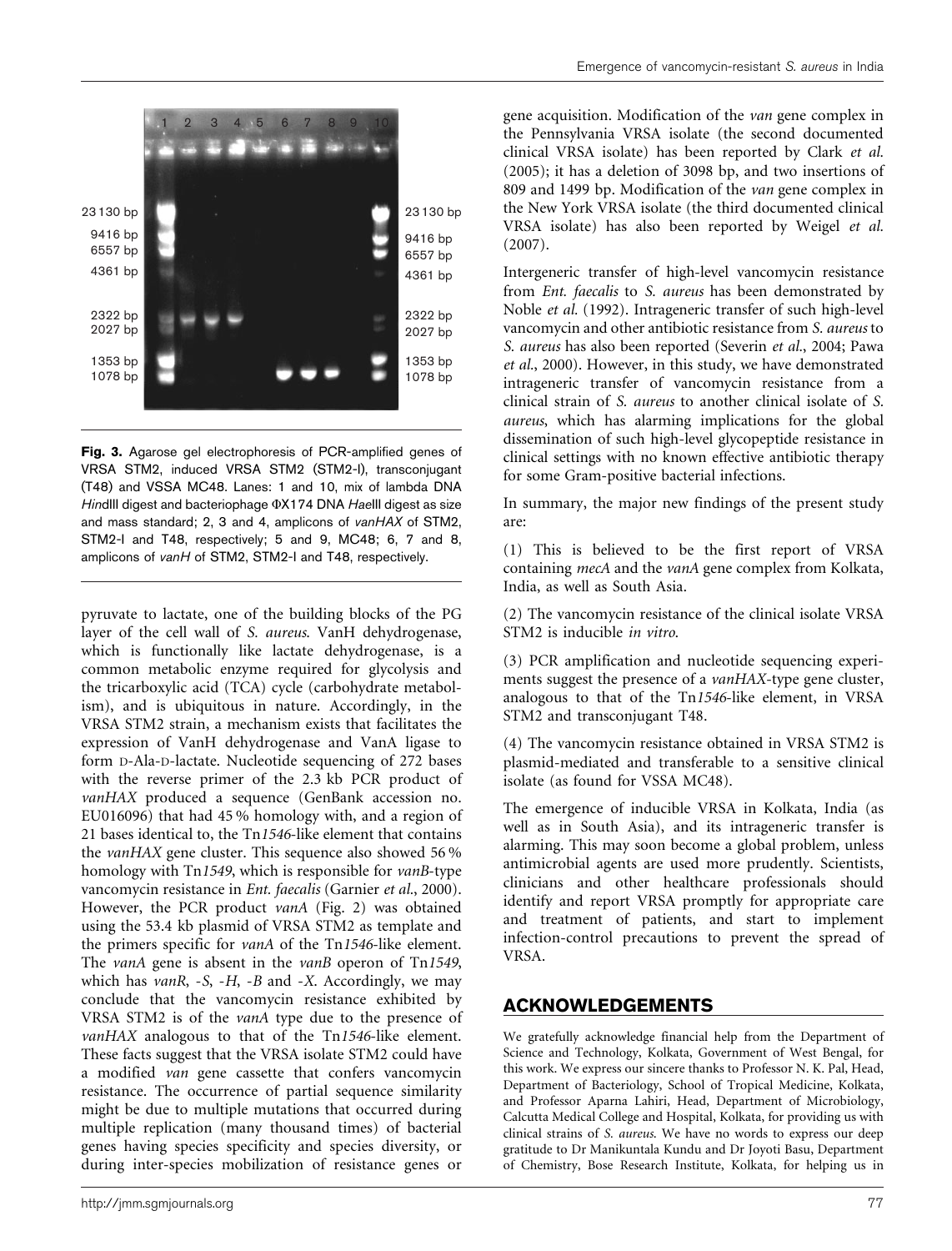

Fig. 3. Agarose gel electrophoresis of PCR-amplified genes of VRSA STM2, induced VRSA STM2 (STM2-I), transconjugant (T48) and VSSA MC48. Lanes: 1 and 10, mix of lambda DNA HindIII digest and bacteriophage  $\Phi$ X174 DNA HaeIII digest as size and mass standard; 2, 3 and 4, amplicons of vanHAX of STM2, STM2-I and T48, respectively; 5 and 9, MC48; 6, 7 and 8, amplicons of vanH of STM2, STM2-I and T48, respectively.

pyruvate to lactate, one of the building blocks of the PG layer of the cell wall of S. aureus. VanH dehydrogenase, which is functionally like lactate dehydrogenase, is a common metabolic enzyme required for glycolysis and the tricarboxylic acid (TCA) cycle (carbohydrate metabolism), and is ubiquitous in nature. Accordingly, in the VRSA STM2 strain, a mechanism exists that facilitates the expression of VanH dehydrogenase and VanA ligase to form D-Ala-D-lactate. Nucleotide sequencing of 272 bases with the reverse primer of the 2.3 kb PCR product of vanHAX produced a sequence (GenBank accession no. EU016096) that had 45 % homology with, and a region of 21 bases identical to, the Tn1546-like element that contains the vanHAX gene cluster. This sequence also showed 56 % homology with Tn1549, which is responsible for *vanB*-type vancomycin resistance in Ent. faecalis (Garnier et al., 2000). However, the PCR product vanA (Fig. 2) was obtained using the 53.4 kb plasmid of VRSA STM2 as template and the primers specific for vanA of the Tn1546-like element. The *vanA* gene is absent in the *vanB* operon of Tn1549, which has  $vanR$ ,  $-S$ ,  $-H$ ,  $-B$  and  $-X$ . Accordingly, we may conclude that the vancomycin resistance exhibited by VRSA STM2 is of the vanA type due to the presence of vanHAX analogous to that of the Tn1546-like element. These facts suggest that the VRSA isolate STM2 could have a modified van gene cassette that confers vancomycin resistance. The occurrence of partial sequence similarity might be due to multiple mutations that occurred during multiple replication (many thousand times) of bacterial genes having species specificity and species diversity, or during inter-species mobilization of resistance genes or

gene acquisition. Modification of the van gene complex in the Pennsylvania VRSA isolate (the second documented clinical VRSA isolate) has been reported by Clark et al. (2005); it has a deletion of 3098 bp, and two insertions of 809 and 1499 bp. Modification of the van gene complex in the New York VRSA isolate (the third documented clinical VRSA isolate) has also been reported by Weigel et al. (2007).

Intergeneric transfer of high-level vancomycin resistance from Ent. faecalis to S. aureus has been demonstrated by Noble et al. (1992). Intrageneric transfer of such high-level vancomycin and other antibiotic resistance from S. aureus to S. aureus has also been reported (Severin et al., 2004; Pawa et al., 2000). However, in this study, we have demonstrated intrageneric transfer of vancomycin resistance from a clinical strain of S. aureus to another clinical isolate of S. aureus, which has alarming implications for the global dissemination of such high-level glycopeptide resistance in clinical settings with no known effective antibiotic therapy for some Gram-positive bacterial infections.

In summary, the major new findings of the present study are:

(1) This is believed to be the first report of VRSA containing mecA and the vanA gene complex from Kolkata, India, as well as South Asia.

(2) The vancomycin resistance of the clinical isolate VRSA STM2 is inducible in vitro.

(3) PCR amplification and nucleotide sequencing experiments suggest the presence of a *vanHAX*-type gene cluster, analogous to that of the Tn1546-like element, in VRSA STM2 and transconjugant T48.

(4) The vancomycin resistance obtained in VRSA STM2 is plasmid-mediated and transferable to a sensitive clinical isolate (as found for VSSA MC48).

The emergence of inducible VRSA in Kolkata, India (as well as in South Asia), and its intrageneric transfer is alarming. This may soon become a global problem, unless antimicrobial agents are used more prudently. Scientists, clinicians and other healthcare professionals should identify and report VRSA promptly for appropriate care and treatment of patients, and start to implement infection-control precautions to prevent the spread of VRSA.

#### ACKNOWLEDGEMENTS

We gratefully acknowledge financial help from the Department of Science and Technology, Kolkata, Government of West Bengal, for this work. We express our sincere thanks to Professor N. K. Pal, Head, Department of Bacteriology, School of Tropical Medicine, Kolkata, and Professor Aparna Lahiri, Head, Department of Microbiology, Calcutta Medical College and Hospital, Kolkata, for providing us with clinical strains of S. aureus. We have no words to express our deep gratitude to Dr Manikuntala Kundu and Dr Joyoti Basu, Department of Chemistry, Bose Research Institute, Kolkata, for helping us in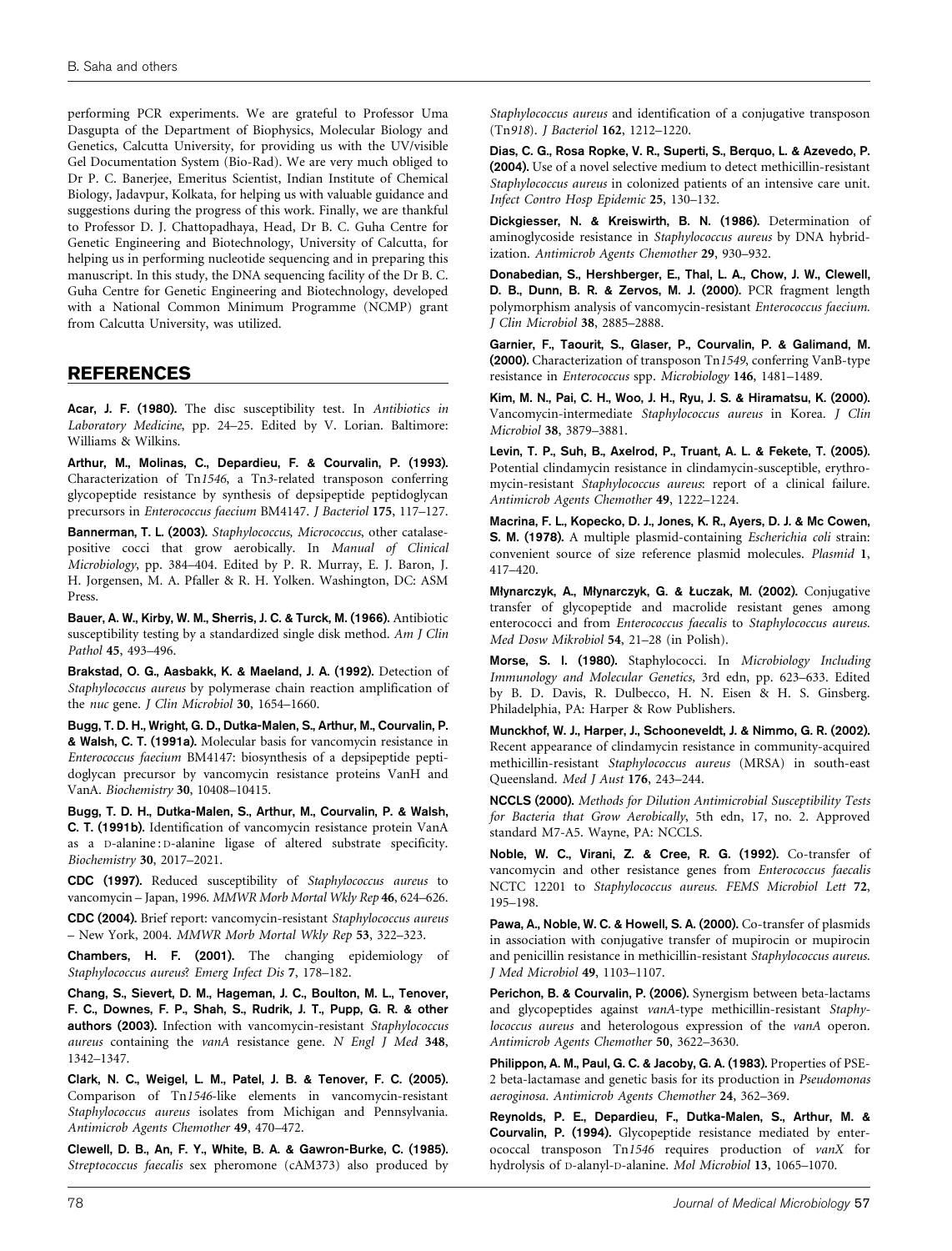performing PCR experiments. We are grateful to Professor Uma Dasgupta of the Department of Biophysics, Molecular Biology and Genetics, Calcutta University, for providing us with the UV/visible Gel Documentation System (Bio-Rad). We are very much obliged to Dr P. C. Banerjee, Emeritus Scientist, Indian Institute of Chemical Biology, Jadavpur, Kolkata, for helping us with valuable guidance and suggestions during the progress of this work. Finally, we are thankful to Professor D. J. Chattopadhaya, Head, Dr B. C. Guha Centre for Genetic Engineering and Biotechnology, University of Calcutta, for helping us in performing nucleotide sequencing and in preparing this manuscript. In this study, the DNA sequencing facility of the Dr B. C. Guha Centre for Genetic Engineering and Biotechnology, developed with a National Common Minimum Programme (NCMP) grant from Calcutta University, was utilized.

### REFERENCES

Acar, J. F. (1980). The disc susceptibility test. In Antibiotics in Laboratory Medicine, pp. 24–25. Edited by V. Lorian. Baltimore: Williams & Wilkins.

Arthur, M., Molinas, C., Depardieu, F. & Courvalin, P. (1993). Characterization of Tn1546, a Tn3-related transposon conferring glycopeptide resistance by synthesis of depsipeptide peptidoglycan precursors in Enterococcus faecium BM4147. J Bacteriol 175, 117–127.

Bannerman, T. L. (2003). Staphylococcus, Micrococcus, other catalasepositive cocci that grow aerobically. In Manual of Clinical Microbiology, pp. 384–404. Edited by P. R. Murray, E. J. Baron, J. H. Jorgensen, M. A. Pfaller & R. H. Yolken. Washington, DC: ASM Press.

Bauer, A. W., Kirby, W. M., Sherris, J. C. & Turck, M. (1966). Antibiotic susceptibility testing by a standardized single disk method. Am J Clin Pathol 45, 493–496.

Brakstad, O. G., Aasbakk, K. & Maeland, J. A. (1992). Detection of Staphylococcus aureus by polymerase chain reaction amplification of the nuc gene. J Clin Microbiol 30, 1654-1660.

Bugg, T. D. H., Wright, G. D., Dutka-Malen, S., Arthur, M., Courvalin, P. & Walsh, C. T. (1991a). Molecular basis for vancomycin resistance in Enterococcus faecium BM4147: biosynthesis of a depsipeptide peptidoglycan precursor by vancomycin resistance proteins VanH and VanA. Biochemistry 30, 10408–10415.

Bugg, T. D. H., Dutka-Malen, S., Arthur, M., Courvalin, P. & Walsh, C. T. (1991b). Identification of vancomycin resistance protein VanA as a D-alanine : D-alanine ligase of altered substrate specificity. Biochemistry 30, 2017–2021.

CDC (1997). Reduced susceptibility of Staphylococcus aureus to vancomycin – Japan, 1996. MMWR Morb Mortal Wkly Rep 46, 624–626.

CDC (2004). Brief report: vancomycin-resistant Staphylococcus aureus – New York, 2004. MMWR Morb Mortal Wkly Rep 53, 322–323.

Chambers, H. F. (2001). The changing epidemiology of Staphylococcus aureus? Emerg Infect Dis 7, 178–182.

Chang, S., Sievert, D. M., Hageman, J. C., Boulton, M. L., Tenover, F. C., Downes, F. P., Shah, S., Rudrik, J. T., Pupp, G. R. & other authors (2003). Infection with vancomycin-resistant Staphylococcus aureus containing the vanA resistance gene. N Engl J Med 348, 1342–1347.

Clark, N. C., Weigel, L. M., Patel, J. B. & Tenover, F. C. (2005). Comparison of Tn1546-like elements in vancomycin-resistant Staphylococcus aureus isolates from Michigan and Pennsylvania. Antimicrob Agents Chemother 49, 470–472.

Clewell, D. B., An, F. Y., White, B. A. & Gawron-Burke, C. (1985). Streptococcus faecalis sex pheromone (cAM373) also produced by

Staphylococcus aureus and identification of a conjugative transposon (Tn918). J Bacteriol 162, 1212–1220.

Dias, C. G., Rosa Ropke, V. R., Superti, S., Berquo, L. & Azevedo, P. (2004). Use of a novel selective medium to detect methicillin-resistant Staphylococcus aureus in colonized patients of an intensive care unit. Infect Contro Hosp Epidemic 25, 130–132.

Dickgiesser, N. & Kreiswirth, B. N. (1986). Determination of aminoglycoside resistance in Staphylococcus aureus by DNA hybridization. Antimicrob Agents Chemother 29, 930–932.

Donabedian, S., Hershberger, E., Thal, L. A., Chow, J. W., Clewell, D. B., Dunn, B. R. & Zervos, M. J. (2000). PCR fragment length polymorphism analysis of vancomycin-resistant Enterococcus faecium. J Clin Microbiol 38, 2885–2888.

Garnier, F., Taourit, S., Glaser, P., Courvalin, P. & Galimand, M. (2000). Characterization of transposon Tn1549, conferring VanB-type resistance in Enterococcus spp. Microbiology 146, 1481–1489.

Kim, M. N., Pai, C. H., Woo, J. H., Ryu, J. S. & Hiramatsu, K. (2000). Vancomycin-intermediate Staphylococcus aureus in Korea. J Clin Microbiol 38, 3879–3881.

Levin, T. P., Suh, B., Axelrod, P., Truant, A. L. & Fekete, T. (2005). Potential clindamycin resistance in clindamycin-susceptible, erythromycin-resistant Staphylococcus aureus: report of a clinical failure. Antimicrob Agents Chemother 49, 1222–1224.

Macrina, F. L., Kopecko, D. J., Jones, K. R., Ayers, D. J. & Mc Cowen, S. M. (1978). A multiple plasmid-containing Escherichia coli strain: convenient source of size reference plasmid molecules. Plasmid 1, 417–420.

Młynarczyk, A., Młynarczyk, G. & Łuczak, M. (2002). Conjugative transfer of glycopeptide and macrolide resistant genes among enterococci and from Enterococcus faecalis to Staphylococcus aureus. Med Dosw Mikrobiol 54, 21–28 (in Polish).

Morse, S. I. (1980). Staphylococci. In Microbiology Including Immunology and Molecular Genetics, 3rd edn, pp. 623–633. Edited by B. D. Davis, R. Dulbecco, H. N. Eisen & H. S. Ginsberg. Philadelphia, PA: Harper & Row Publishers.

Munckhof, W. J., Harper, J., Schooneveldt, J. & Nimmo, G. R. (2002). Recent appearance of clindamycin resistance in community-acquired methicillin-resistant Staphylococcus aureus (MRSA) in south-east Queensland. Med J Aust 176, 243–244.

NCCLS (2000). Methods for Dilution Antimicrobial Susceptibility Tests for Bacteria that Grow Aerobically, 5th edn, 17, no. 2. Approved standard M7-A5. Wayne, PA: NCCLS.

Noble, W. C., Virani, Z. & Cree, R. G. (1992). Co-transfer of vancomycin and other resistance genes from Enterococcus faecalis NCTC 12201 to Staphylococcus aureus. FEMS Microbiol Lett 72, 195–198.

Pawa, A., Noble, W. C. & Howell, S. A. (2000). Co-transfer of plasmids in association with conjugative transfer of mupirocin or mupirocin and penicillin resistance in methicillin-resistant Staphylococcus aureus. J Med Microbiol 49, 1103–1107.

Perichon, B. & Courvalin, P. (2006). Synergism between beta-lactams and glycopeptides against vanA-type methicillin-resistant Staphylococcus aureus and heterologous expression of the vanA operon. Antimicrob Agents Chemother 50, 3622–3630.

Philippon, A. M., Paul, G. C. & Jacoby, G. A. (1983). Properties of PSE-2 beta-lactamase and genetic basis for its production in Pseudomonas aeroginosa. Antimicrob Agents Chemother 24, 362–369.

Reynolds, P. E., Depardieu, F., Dutka-Malen, S., Arthur, M. & Courvalin, P. (1994). Glycopeptide resistance mediated by enterococcal transposon Tn1546 requires production of vanX for hydrolysis of D-alanyl-D-alanine. Mol Microbiol 13, 1065–1070.